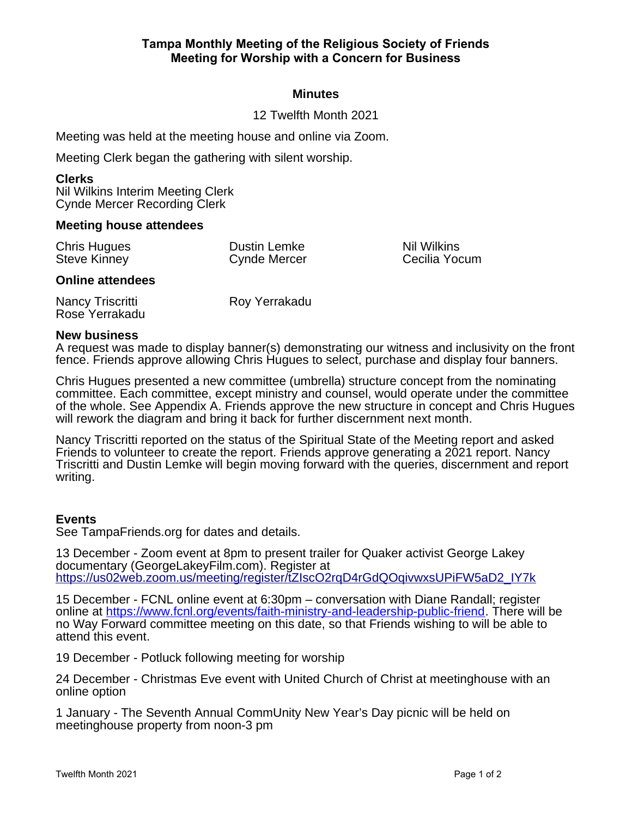# **Minutes**

# 12 Twelfth Month 2021

Meeting was held at the meeting house and online via Zoom.

Meeting Clerk began the gathering with silent worship.

#### **Clerks**

Nil Wilkins Interim Meeting Clerk Cynde Mercer Recording Clerk

### **Meeting house attendees**

| <b>Chris Hugues</b><br><b>Steve Kinney</b> | Dustin Lemke<br><b>Cynde Mercer</b> | Nil Wilkins<br>Cecilia Yocum |
|--------------------------------------------|-------------------------------------|------------------------------|
| <b>Online attendees</b>                    |                                     |                              |
| Nancy Triscritti                           | Roy Yerrakadu                       |                              |

# Rose Yerrakadu

# **New business**

A request was made to display banner(s) demonstrating our witness and inclusivity on the front fence. Friends approve allowing Chris Hugues to select, purchase and display four banners.

Chris Hugues presented a new committee (umbrella) structure concept from the nominating committee. Each committee, except ministry and counsel, would operate under the committee of the whole. See Appendix A. Friends approve the new structure in concept and Chris Hugues will rework the diagram and bring it back for further discernment next month.

Nancy Triscritti reported on the status of the Spiritual State of the Meeting report and asked Friends to volunteer to create the report. Friends approve generating a 2021 report. Nancy Triscritti and Dustin Lemke will begin moving forward with the queries, discernment and report writing.

## **Events**

See TampaFriends.org for dates and details.

13 December - Zoom event at 8pm to present trailer for Quaker activist George Lakey documentary (GeorgeLakeyFilm.com). Register at [https://us02web.zoom.us/meeting/register/tZIscO2rqD4rGdQOqivwxsUPiFW5aD2\\_IY7k](https://us02web.zoom.us/meeting/register/tZIscO2rqD4rGdQOqivwxsUPiFW5aD2_IY7k)

15 December - FCNL online event at 6:30pm – conversation with Diane Randall; register online at https://www.fcnl.org/events/faith-ministry-and-leadership-public-friend. There will be no Way Forward committee meeting on this date, so that Friends wishing to will be able to attend this event.

19 December - Potluck following meeting for worship

24 December - Christmas Eve event with United Church of Christ at meetinghouse with an online option

1 January - The Seventh Annual CommUnity New Year's Day picnic will be held on meetinghouse property from noon-3 pm